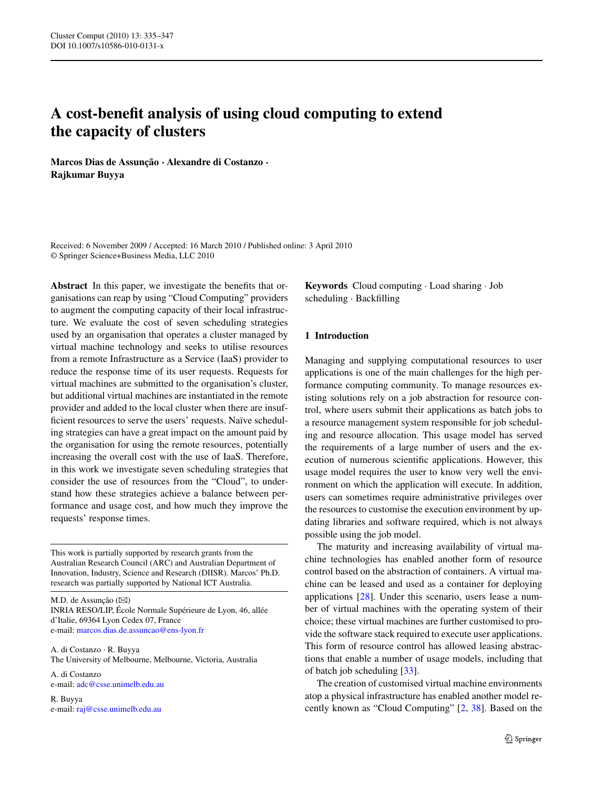# **A cost-benefit analysis of using cloud computing to extend the capacity of clusters**

**Marcos Dias de Assunção · Alexandre di Costanzo · Rajkumar Buyya**

Received: 6 November 2009 / Accepted: 16 March 2010 / Published online: 3 April 2010 © Springer Science+Business Media, LLC 2010

**Abstract** In this paper, we investigate the benefits that organisations can reap by using "Cloud Computing" providers to augment the computing capacity of their local infrastructure. We evaluate the cost of seven scheduling strategies used by an organisation that operates a cluster managed by virtual machine technology and seeks to utilise resources from a remote Infrastructure as a Service (IaaS) provider to reduce the response time of its user requests. Requests for virtual machines are submitted to the organisation's cluster, but additional virtual machines are instantiated in the remote provider and added to the local cluster when there are insufficient resources to serve the users' requests. Naïve scheduling strategies can have a great impact on the amount paid by the organisation for using the remote resources, potentially increasing the overall cost with the use of IaaS. Therefore, in this work we investigate seven scheduling strategies that consider the use of resources from the "Cloud", to understand how these strategies achieve a balance between performance and usage cost, and how much they improve the requests' response times.

This work is partially supported by research grants from the Australian Research Council (ARC) and Australian Department of Innovation, Industry, Science and Research (DIISR). Marcos' Ph.D. research was partially supported by National ICT Australia.

 $M.D.$  de Assunção ( $\boxtimes$ ) INRIA RESO/LIP, École Normale Supérieure de Lyon, 46, allée d'Italie, 69364 Lyon Cedex 07, France e-mail: [marcos.dias.de.assuncao@ens-lyon.fr](mailto:marcos.dias.de.assuncao@ens-lyon.fr)

A. di Costanzo · R. Buyya The University of Melbourne, Melbourne, Victoria, Australia

A. di Costanzo e-mail: [adc@csse.unimelb.edu.au](mailto:adc@csse.unimelb.edu.au)

R. Buyya e-mail: [raj@csse.unimelb.edu.au](mailto:raj@csse.unimelb.edu.au) **Keywords** Cloud computing · Load sharing · Job scheduling · Backfilling

## **1 Introduction**

Managing and supplying computational resources to user applications is one of the main challenges for the high performance computing community. To manage resources existing solutions rely on a job abstraction for resource control, where users submit their applications as batch jobs to a resource management system responsible for job scheduling and resource allocation. This usage model has served the requirements of a large number of users and the execution of numerous scientific applications. However, this usage model requires the user to know very well the environment on which the application will execute. In addition, users can sometimes require administrative privileges over the resources to customise the execution environment by updating libraries and software required, which is not always possible using the job model.

The maturity and increasing availability of virtual machine technologies has enabled another form of resource control based on the abstraction of containers. A virtual machine can be leased and used as a container for deploying applications [\[28](#page-11-0)]. Under this scenario, users lease a number of virtual machines with the operating system of their choice; these virtual machines are further customised to provide the software stack required to execute user applications. This form of resource control has allowed leasing abstractions that enable a number of usage models, including that of batch job scheduling [[33\]](#page-11-0).

The creation of customised virtual machine environments atop a physical infrastructure has enabled another model recently known as "Cloud Computing" [\[2](#page-10-0), [38\]](#page-11-0). Based on the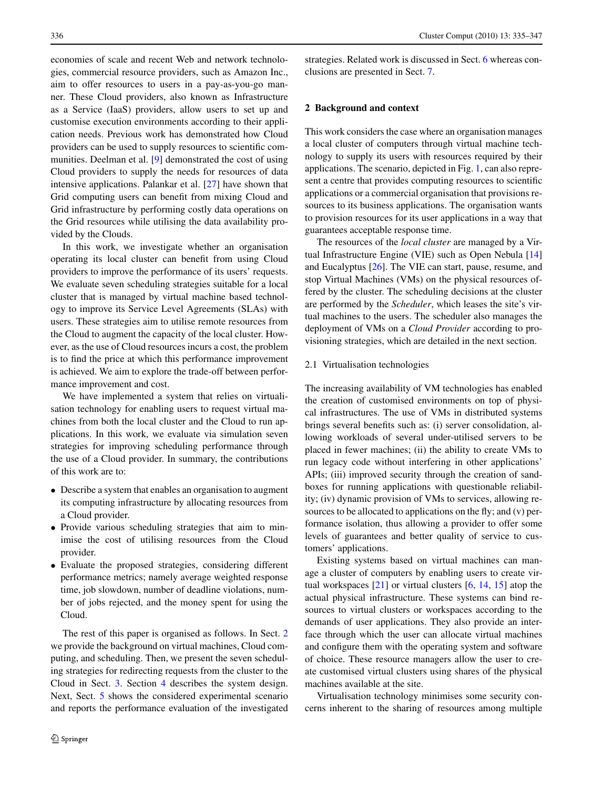<span id="page-1-0"></span>economies of scale and recent Web and network technologies, commercial resource providers, such as Amazon Inc., aim to offer resources to users in a pay-as-you-go manner. These Cloud providers, also known as Infrastructure as a Service (IaaS) providers, allow users to set up and customise execution environments according to their application needs. Previous work has demonstrated how Cloud providers can be used to supply resources to scientific communities. Deelman et al. [[9\]](#page-11-0) demonstrated the cost of using Cloud providers to supply the needs for resources of data intensive applications. Palankar et al. [\[27](#page-11-0)] have shown that Grid computing users can benefit from mixing Cloud and Grid infrastructure by performing costly data operations on the Grid resources while utilising the data availability provided by the Clouds.

In this work, we investigate whether an organisation operating its local cluster can benefit from using Cloud providers to improve the performance of its users' requests. We evaluate seven scheduling strategies suitable for a local cluster that is managed by virtual machine based technology to improve its Service Level Agreements (SLAs) with users. These strategies aim to utilise remote resources from the Cloud to augment the capacity of the local cluster. However, as the use of Cloud resources incurs a cost, the problem is to find the price at which this performance improvement is achieved. We aim to explore the trade-off between performance improvement and cost.

We have implemented a system that relies on virtualisation technology for enabling users to request virtual machines from both the local cluster and the Cloud to run applications. In this work, we evaluate via simulation seven strategies for improving scheduling performance through the use of a Cloud provider. In summary, the contributions of this work are to:

- Describe a system that enables an organisation to augment its computing infrastructure by allocating resources from a Cloud provider.
- Provide various scheduling strategies that aim to minimise the cost of utilising resources from the Cloud provider.
- Evaluate the proposed strategies, considering different performance metrics; namely average weighted response time, job slowdown, number of deadline violations, number of jobs rejected, and the money spent for using the Cloud.

The rest of this paper is organised as follows. In Sect. 2 we provide the background on virtual machines, Cloud computing, and scheduling. Then, we present the seven scheduling strategies for redirecting requests from the cluster to the Cloud in Sect. [3](#page-3-0). Section [4](#page-4-0) describes the system design. Next, Sect. [5](#page-4-0) shows the considered experimental scenario and reports the performance evaluation of the investigated strategies. Related work is discussed in Sect. [6](#page-9-0) whereas conclusions are presented in Sect. [7.](#page-10-0)

## **2 Background and context**

This work considers the case where an organisation manages a local cluster of computers through virtual machine technology to supply its users with resources required by their applications. The scenario, depicted in Fig. [1,](#page-2-0) can also represent a centre that provides computing resources to scientific applications or a commercial organisation that provisions resources to its business applications. The organisation wants to provision resources for its user applications in a way that guarantees acceptable response time.

The resources of the *local cluster* are managed by a Virtual Infrastructure Engine (VIE) such as Open Nebula [[14\]](#page-11-0) and Eucalyptus [\[26](#page-11-0)]. The VIE can start, pause, resume, and stop Virtual Machines (VMs) on the physical resources offered by the cluster. The scheduling decisions at the cluster are performed by the *Scheduler*, which leases the site's virtual machines to the users. The scheduler also manages the deployment of VMs on a *Cloud Provider* according to provisioning strategies, which are detailed in the next section.

#### 2.1 Virtualisation technologies

The increasing availability of VM technologies has enabled the creation of customised environments on top of physical infrastructures. The use of VMs in distributed systems brings several benefits such as: (i) server consolidation, allowing workloads of several under-utilised servers to be placed in fewer machines; (ii) the ability to create VMs to run legacy code without interfering in other applications' APIs; (iii) improved security through the creation of sandboxes for running applications with questionable reliability; (iv) dynamic provision of VMs to services, allowing resources to be allocated to applications on the fly; and (v) performance isolation, thus allowing a provider to offer some levels of guarantees and better quality of service to customers' applications.

Existing systems based on virtual machines can manage a cluster of computers by enabling users to create virtual workspaces  $[21]$  $[21]$  or virtual clusters  $[6, 14, 15]$  $[6, 14, 15]$  $[6, 14, 15]$  $[6, 14, 15]$  $[6, 14, 15]$  $[6, 14, 15]$  $[6, 14, 15]$  atop the actual physical infrastructure. These systems can bind resources to virtual clusters or workspaces according to the demands of user applications. They also provide an interface through which the user can allocate virtual machines and configure them with the operating system and software of choice. These resource managers allow the user to create customised virtual clusters using shares of the physical machines available at the site.

Virtualisation technology minimises some security concerns inherent to the sharing of resources among multiple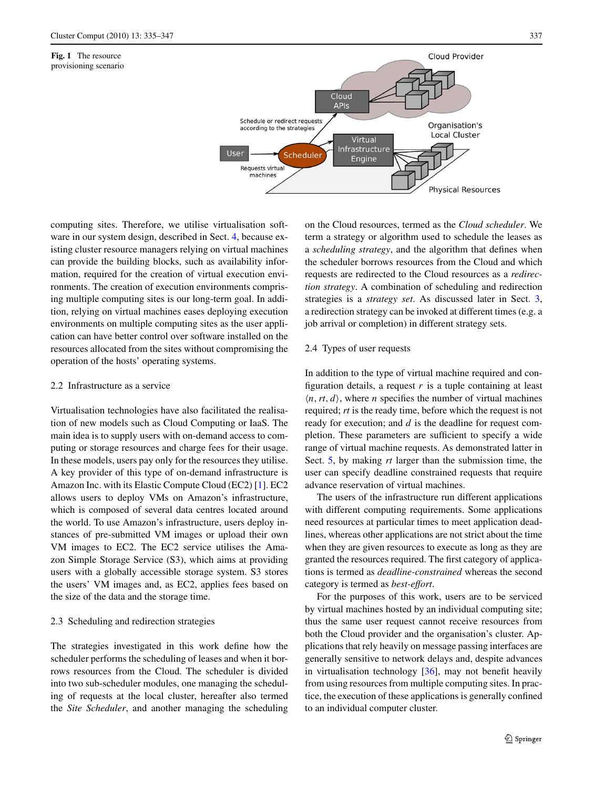<span id="page-2-0"></span>**Fig. 1** The resource provisioning scenario



computing sites. Therefore, we utilise virtualisation software in our system design, described in Sect. [4](#page-4-0), because existing cluster resource managers relying on virtual machines can provide the building blocks, such as availability information, required for the creation of virtual execution environments. The creation of execution environments comprising multiple computing sites is our long-term goal. In addition, relying on virtual machines eases deploying execution environments on multiple computing sites as the user application can have better control over software installed on the resources allocated from the sites without compromising the operation of the hosts' operating systems.

## 2.2 Infrastructure as a service

Virtualisation technologies have also facilitated the realisation of new models such as Cloud Computing or IaaS. The main idea is to supply users with on-demand access to computing or storage resources and charge fees for their usage. In these models, users pay only for the resources they utilise. A key provider of this type of on-demand infrastructure is Amazon Inc. with its Elastic Compute Cloud (EC2) [\[1](#page-10-0)]. EC2 allows users to deploy VMs on Amazon's infrastructure, which is composed of several data centres located around the world. To use Amazon's infrastructure, users deploy instances of pre-submitted VM images or upload their own VM images to EC2. The EC2 service utilises the Amazon Simple Storage Service (S3), which aims at providing users with a globally accessible storage system. S3 stores the users' VM images and, as EC2, applies fees based on the size of the data and the storage time.

## 2.3 Scheduling and redirection strategies

The strategies investigated in this work define how the scheduler performs the scheduling of leases and when it borrows resources from the Cloud. The scheduler is divided into two sub-scheduler modules, one managing the scheduling of requests at the local cluster, hereafter also termed the *Site Scheduler*, and another managing the scheduling on the Cloud resources, termed as the *Cloud scheduler*. We term a strategy or algorithm used to schedule the leases as a *scheduling strategy*, and the algorithm that defines when the scheduler borrows resources from the Cloud and which requests are redirected to the Cloud resources as a *redirection strategy*. A combination of scheduling and redirection strategies is a *strategy set*. As discussed later in Sect. [3](#page-3-0), a redirection strategy can be invoked at different times (e.g. a job arrival or completion) in different strategy sets.

#### 2.4 Types of user requests

In addition to the type of virtual machine required and configuration details, a request  $r$  is a tuple containing at least  $\langle n, rt, d \rangle$ , where *n* specifies the number of virtual machines required; *rt* is the ready time, before which the request is not ready for execution; and *d* is the deadline for request completion. These parameters are sufficient to specify a wide range of virtual machine requests. As demonstrated latter in Sect. [5,](#page-4-0) by making *rt* larger than the submission time, the user can specify deadline constrained requests that require advance reservation of virtual machines.

The users of the infrastructure run different applications with different computing requirements. Some applications need resources at particular times to meet application deadlines, whereas other applications are not strict about the time when they are given resources to execute as long as they are granted the resources required. The first category of applications is termed as *deadline-constrained* whereas the second category is termed as *best-effort*.

For the purposes of this work, users are to be serviced by virtual machines hosted by an individual computing site; thus the same user request cannot receive resources from both the Cloud provider and the organisation's cluster. Applications that rely heavily on message passing interfaces are generally sensitive to network delays and, despite advances in virtualisation technology [[36\]](#page-11-0), may not benefit heavily from using resources from multiple computing sites. In practice, the execution of these applications is generally confined to an individual computer cluster.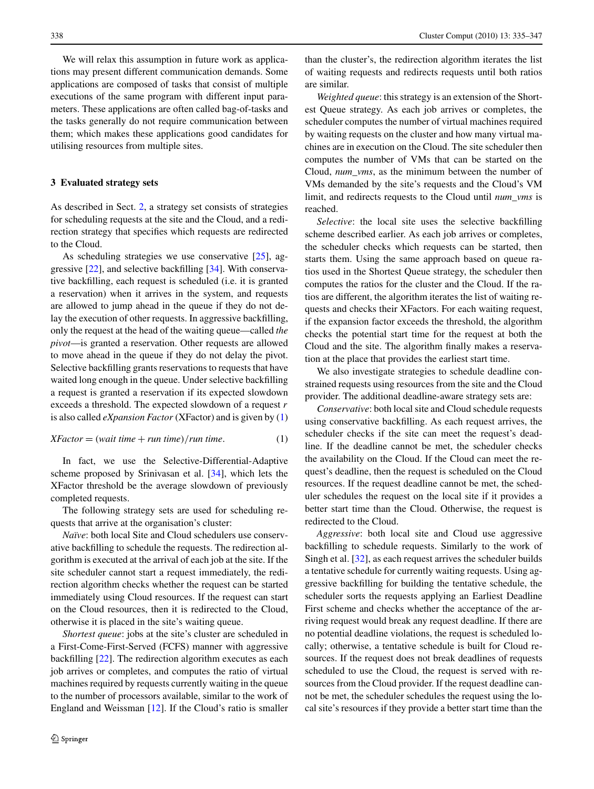<span id="page-3-0"></span>We will relax this assumption in future work as applications may present different communication demands. Some applications are composed of tasks that consist of multiple executions of the same program with different input parameters. These applications are often called bag-of-tasks and the tasks generally do not require communication between them; which makes these applications good candidates for utilising resources from multiple sites.

#### **3 Evaluated strategy sets**

As described in Sect. [2](#page-1-0), a strategy set consists of strategies for scheduling requests at the site and the Cloud, and a redirection strategy that specifies which requests are redirected to the Cloud.

As scheduling strategies we use conservative [\[25](#page-11-0)], aggressive [[22\]](#page-11-0), and selective backfilling [[34\]](#page-11-0). With conservative backfilling, each request is scheduled (i.e. it is granted a reservation) when it arrives in the system, and requests are allowed to jump ahead in the queue if they do not delay the execution of other requests. In aggressive backfilling, only the request at the head of the waiting queue—called *the pivot*—is granted a reservation. Other requests are allowed to move ahead in the queue if they do not delay the pivot. Selective backfilling grants reservations to requests that have waited long enough in the queue. Under selective backfilling a request is granted a reservation if its expected slowdown exceeds a threshold. The expected slowdown of a request *r* is also called *eXpansion Factor* (XFactor) and is given by (1)

$$
XFactor = (wait time + run time) / run time.
$$
 (1)

In fact, we use the Selective-Differential-Adaptive scheme proposed by Srinivasan et al. [[34](#page-11-0)], which lets the XFactor threshold be the average slowdown of previously completed requests.

The following strategy sets are used for scheduling requests that arrive at the organisation's cluster:

*Naïve*: both local Site and Cloud schedulers use conservative backfilling to schedule the requests. The redirection algorithm is executed at the arrival of each job at the site. If the site scheduler cannot start a request immediately, the redirection algorithm checks whether the request can be started immediately using Cloud resources. If the request can start on the Cloud resources, then it is redirected to the Cloud, otherwise it is placed in the site's waiting queue.

*Shortest queue*: jobs at the site's cluster are scheduled in a First-Come-First-Served (FCFS) manner with aggressive backfilling [\[22](#page-11-0)]. The redirection algorithm executes as each job arrives or completes, and computes the ratio of virtual machines required by requests currently waiting in the queue to the number of processors available, similar to the work of England and Weissman [\[12](#page-11-0)]. If the Cloud's ratio is smaller than the cluster's, the redirection algorithm iterates the list of waiting requests and redirects requests until both ratios are similar.

*Weighted queue*: this strategy is an extension of the Shortest Queue strategy. As each job arrives or completes, the scheduler computes the number of virtual machines required by waiting requests on the cluster and how many virtual machines are in execution on the Cloud. The site scheduler then computes the number of VMs that can be started on the Cloud, *num*\_*vms*, as the minimum between the number of VMs demanded by the site's requests and the Cloud's VM limit, and redirects requests to the Cloud until *num*\_*vms* is reached.

*Selective*: the local site uses the selective backfilling scheme described earlier. As each job arrives or completes, the scheduler checks which requests can be started, then starts them. Using the same approach based on queue ratios used in the Shortest Queue strategy, the scheduler then computes the ratios for the cluster and the Cloud. If the ratios are different, the algorithm iterates the list of waiting requests and checks their XFactors. For each waiting request, if the expansion factor exceeds the threshold, the algorithm checks the potential start time for the request at both the Cloud and the site. The algorithm finally makes a reservation at the place that provides the earliest start time.

We also investigate strategies to schedule deadline constrained requests using resources from the site and the Cloud provider. The additional deadline-aware strategy sets are:

*Conservative*: both local site and Cloud schedule requests using conservative backfilling. As each request arrives, the scheduler checks if the site can meet the request's deadline. If the deadline cannot be met, the scheduler checks the availability on the Cloud. If the Cloud can meet the request's deadline, then the request is scheduled on the Cloud resources. If the request deadline cannot be met, the scheduler schedules the request on the local site if it provides a better start time than the Cloud. Otherwise, the request is redirected to the Cloud.

*Aggressive*: both local site and Cloud use aggressive backfilling to schedule requests. Similarly to the work of Singh et al. [\[32\]](#page-11-0), as each request arrives the scheduler builds a tentative schedule for currently waiting requests. Using aggressive backfilling for building the tentative schedule, the scheduler sorts the requests applying an Earliest Deadline First scheme and checks whether the acceptance of the arriving request would break any request deadline. If there are no potential deadline violations, the request is scheduled locally; otherwise, a tentative schedule is built for Cloud resources. If the request does not break deadlines of requests scheduled to use the Cloud, the request is served with resources from the Cloud provider. If the request deadline cannot be met, the scheduler schedules the request using the local site's resources if they provide a better start time than the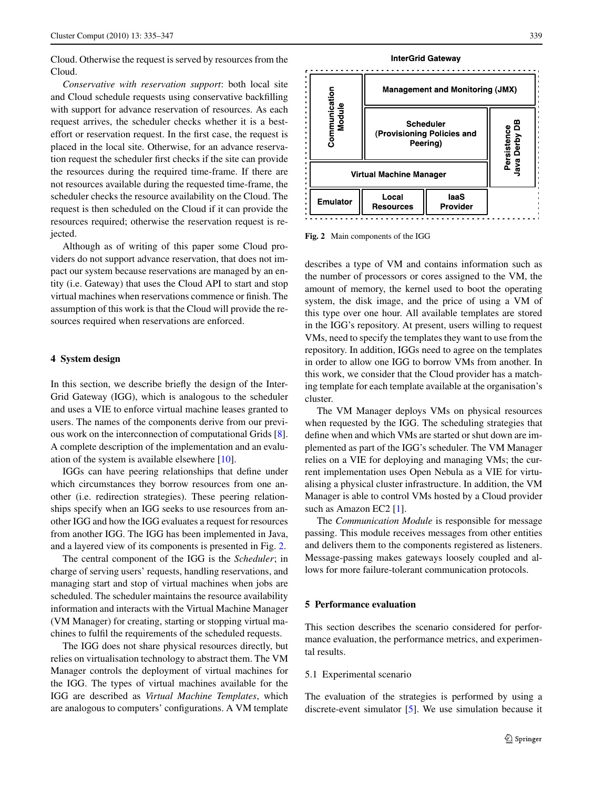<span id="page-4-0"></span>Cloud. Otherwise the request is served by resources from the Cloud.

*Conservative with reservation support*: both local site and Cloud schedule requests using conservative backfilling with support for advance reservation of resources. As each request arrives, the scheduler checks whether it is a besteffort or reservation request. In the first case, the request is placed in the local site. Otherwise, for an advance reservation request the scheduler first checks if the site can provide the resources during the required time-frame. If there are not resources available during the requested time-frame, the scheduler checks the resource availability on the Cloud. The request is then scheduled on the Cloud if it can provide the resources required; otherwise the reservation request is rejected.

Although as of writing of this paper some Cloud providers do not support advance reservation, that does not impact our system because reservations are managed by an entity (i.e. Gateway) that uses the Cloud API to start and stop virtual machines when reservations commence or finish. The assumption of this work is that the Cloud will provide the resources required when reservations are enforced.

## **4 System design**

In this section, we describe briefly the design of the Inter-Grid Gateway (IGG), which is analogous to the scheduler and uses a VIE to enforce virtual machine leases granted to users. The names of the components derive from our previous work on the interconnection of computational Grids [\[8](#page-10-0)]. A complete description of the implementation and an evaluation of the system is available elsewhere [\[10](#page-11-0)].

IGGs can have peering relationships that define under which circumstances they borrow resources from one another (i.e. redirection strategies). These peering relationships specify when an IGG seeks to use resources from another IGG and how the IGG evaluates a request for resources from another IGG. The IGG has been implemented in Java, and a layered view of its components is presented in Fig. 2.

The central component of the IGG is the *Scheduler*; in charge of serving users' requests, handling reservations, and managing start and stop of virtual machines when jobs are scheduled. The scheduler maintains the resource availability information and interacts with the Virtual Machine Manager (VM Manager) for creating, starting or stopping virtual machines to fulfil the requirements of the scheduled requests.

The IGG does not share physical resources directly, but relies on virtualisation technology to abstract them. The VM Manager controls the deployment of virtual machines for the IGG. The types of virtual machines available for the IGG are described as *Virtual Machine Templates*, which are analogous to computers' configurations. A VM template



**Fig. 2** Main components of the IGG

describes a type of VM and contains information such as the number of processors or cores assigned to the VM, the amount of memory, the kernel used to boot the operating system, the disk image, and the price of using a VM of this type over one hour. All available templates are stored in the IGG's repository. At present, users willing to request VMs, need to specify the templates they want to use from the repository. In addition, IGGs need to agree on the templates in order to allow one IGG to borrow VMs from another. In this work, we consider that the Cloud provider has a matching template for each template available at the organisation's cluster.

The VM Manager deploys VMs on physical resources when requested by the IGG. The scheduling strategies that define when and which VMs are started or shut down are implemented as part of the IGG's scheduler. The VM Manager relies on a VIE for deploying and managing VMs; the current implementation uses Open Nebula as a VIE for virtualising a physical cluster infrastructure. In addition, the VM Manager is able to control VMs hosted by a Cloud provider such as Amazon EC2 [\[1](#page-10-0)].

The *Communication Module* is responsible for message passing. This module receives messages from other entities and delivers them to the components registered as listeners. Message-passing makes gateways loosely coupled and allows for more failure-tolerant communication protocols.

## **5 Performance evaluation**

This section describes the scenario considered for performance evaluation, the performance metrics, and experimental results.

#### 5.1 Experimental scenario

The evaluation of the strategies is performed by using a discrete-event simulator [[5\]](#page-10-0). We use simulation because it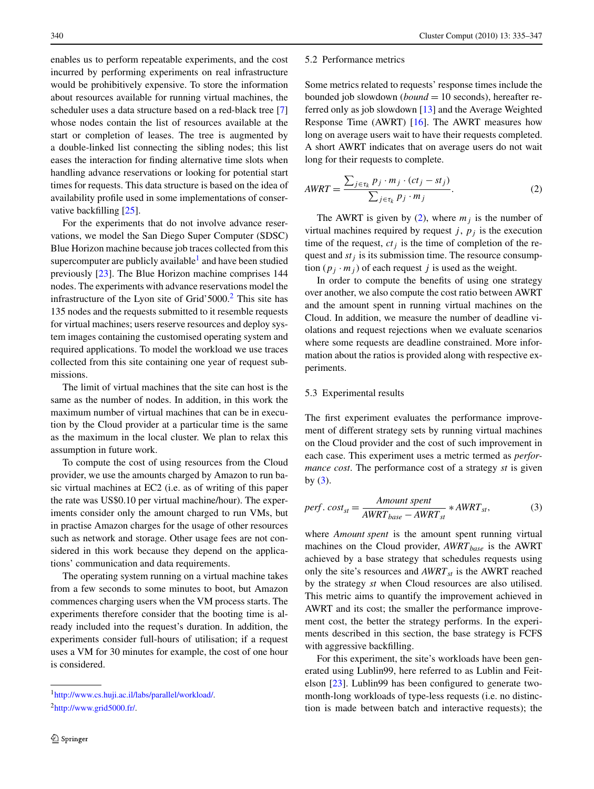enables us to perform repeatable experiments, and the cost incurred by performing experiments on real infrastructure would be prohibitively expensive. To store the information about resources available for running virtual machines, the scheduler uses a data structure based on a red-black tree [[7\]](#page-10-0) whose nodes contain the list of resources available at the start or completion of leases. The tree is augmented by a double-linked list connecting the sibling nodes; this list eases the interaction for finding alternative time slots when handling advance reservations or looking for potential start times for requests. This data structure is based on the idea of availability profile used in some implementations of conser-vative backfilling [\[25](#page-11-0)].

For the experiments that do not involve advance reservations, we model the San Diego Super Computer (SDSC) Blue Horizon machine because job traces collected from this supercomputer are publicly available<sup>1</sup> and have been studied previously [[23\]](#page-11-0). The Blue Horizon machine comprises 144 nodes. The experiments with advance reservations model the infrastructure of the Lyon site of Grid'5000.2 This site has 135 nodes and the requests submitted to it resemble requests for virtual machines; users reserve resources and deploy system images containing the customised operating system and required applications. To model the workload we use traces collected from this site containing one year of request submissions.

The limit of virtual machines that the site can host is the same as the number of nodes. In addition, in this work the maximum number of virtual machines that can be in execution by the Cloud provider at a particular time is the same as the maximum in the local cluster. We plan to relax this assumption in future work.

To compute the cost of using resources from the Cloud provider, we use the amounts charged by Amazon to run basic virtual machines at EC2 (i.e. as of writing of this paper the rate was US\$0.10 per virtual machine/hour). The experiments consider only the amount charged to run VMs, but in practise Amazon charges for the usage of other resources such as network and storage. Other usage fees are not considered in this work because they depend on the applications' communication and data requirements.

The operating system running on a virtual machine takes from a few seconds to some minutes to boot, but Amazon commences charging users when the VM process starts. The experiments therefore consider that the booting time is already included into the request's duration. In addition, the experiments consider full-hours of utilisation; if a request uses a VM for 30 minutes for example, the cost of one hour is considered.

## 5.2 Performance metrics

Some metrics related to requests' response times include the bounded job slowdown (*bound* = 10 seconds), hereafter referred only as job slowdown [[13\]](#page-11-0) and the Average Weighted Response Time (AWRT) [[16\]](#page-11-0). The AWRT measures how long on average users wait to have their requests completed. A short AWRT indicates that on average users do not wait long for their requests to complete.

$$
AWRT = \frac{\sum_{j \in \tau_k} p_j \cdot m_j \cdot (ct_j - st_j)}{\sum_{j \in \tau_k} p_j \cdot m_j}.
$$
 (2)

The AWRT is given by  $(2)$ , where  $m<sub>j</sub>$  is the number of virtual machines required by request  $j$ ,  $p_j$  is the execution time of the request,  $ct<sub>j</sub>$  is the time of completion of the request and  $st_j$  is its submission time. The resource consumption  $(p_i \cdot m_j)$  of each request *j* is used as the weight.

In order to compute the benefits of using one strategy over another, we also compute the cost ratio between AWRT and the amount spent in running virtual machines on the Cloud. In addition, we measure the number of deadline violations and request rejections when we evaluate scenarios where some requests are deadline constrained. More information about the ratios is provided along with respective experiments.

## 5.3 Experimental results

The first experiment evaluates the performance improvement of different strategy sets by running virtual machines on the Cloud provider and the cost of such improvement in each case. This experiment uses a metric termed as *performance cost*. The performance cost of a strategy *st* is given by  $(3)$ .

$$
perf. \ cost_{st} = \frac{Amount spent}{AWRT_{base} - AWRT_{st}} * AWRT_{st}, \tag{3}
$$

where *Amount spent* is the amount spent running virtual machines on the Cloud provider,  $AWRT_{base}$  is the AWRT achieved by a base strategy that schedules requests using only the site's resources and *AWRT<sub>st</sub>* is the AWRT reached by the strategy *st* when Cloud resources are also utilised. This metric aims to quantify the improvement achieved in AWRT and its cost; the smaller the performance improvement cost, the better the strategy performs. In the experiments described in this section, the base strategy is FCFS with aggressive backfilling.

For this experiment, the site's workloads have been generated using Lublin99, here referred to as Lublin and Feitelson [[23\]](#page-11-0). Lublin99 has been configured to generate twomonth-long workloads of type-less requests (i.e. no distinction is made between batch and interactive requests); the

<sup>1</sup>[http://www.cs.huji.ac.il/labs/parallel/workload/.](http://www.cs.huji.ac.il/labs/parallel/workload/)

<sup>2</sup><http://www.grid5000.fr/>.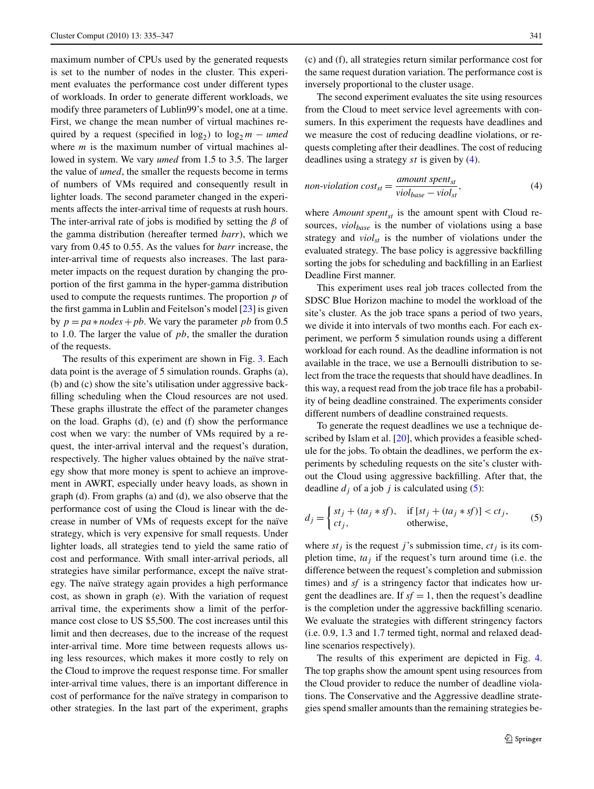maximum number of CPUs used by the generated requests is set to the number of nodes in the cluster. This experiment evaluates the performance cost under different types of workloads. In order to generate different workloads, we modify three parameters of Lublin99's model, one at a time. First, we change the mean number of virtual machines required by a request (specified in  $\log_2$ ) to  $\log_2 m - \text{umed}$ where *m* is the maximum number of virtual machines allowed in system. We vary *umed* from 1.5 to 3.5. The larger the value of *umed*, the smaller the requests become in terms of numbers of VMs required and consequently result in lighter loads. The second parameter changed in the experiments affects the inter-arrival time of requests at rush hours. The inter-arrival rate of jobs is modified by setting the *β* of the gamma distribution (hereafter termed *barr*), which we vary from 0.45 to 0.55. As the values for *barr* increase, the inter-arrival time of requests also increases. The last parameter impacts on the request duration by changing the proportion of the first gamma in the hyper-gamma distribution used to compute the requests runtimes. The proportion *p* of the first gamma in Lublin and Feitelson's model [\[23](#page-11-0)] is given by  $p = pa * nodes + pb$ . We vary the parameter *pb* from 0.5 to 1.0. The larger the value of *pb*, the smaller the duration of the requests.

The results of this experiment are shown in Fig. [3.](#page-7-0) Each data point is the average of 5 simulation rounds. Graphs (a), (b) and (c) show the site's utilisation under aggressive backfilling scheduling when the Cloud resources are not used. These graphs illustrate the effect of the parameter changes on the load. Graphs (d), (e) and (f) show the performance cost when we vary: the number of VMs required by a request, the inter-arrival interval and the request's duration, respectively. The higher values obtained by the naïve strategy show that more money is spent to achieve an improvement in AWRT, especially under heavy loads, as shown in graph (d). From graphs (a) and (d), we also observe that the performance cost of using the Cloud is linear with the decrease in number of VMs of requests except for the naïve strategy, which is very expensive for small requests. Under lighter loads, all strategies tend to yield the same ratio of cost and performance. With small inter-arrival periods, all strategies have similar performance, except the naïve strategy. The naïve strategy again provides a high performance cost, as shown in graph (e). With the variation of request arrival time, the experiments show a limit of the performance cost close to US \$5,500. The cost increases until this limit and then decreases, due to the increase of the request inter-arrival time. More time between requests allows using less resources, which makes it more costly to rely on the Cloud to improve the request response time. For smaller inter-arrival time values, there is an important difference in cost of performance for the naïve strategy in comparison to other strategies. In the last part of the experiment, graphs (c) and (f), all strategies return similar performance cost for the same request duration variation. The performance cost is inversely proportional to the cluster usage.

The second experiment evaluates the site using resources from the Cloud to meet service level agreements with consumers. In this experiment the requests have deadlines and we measure the cost of reducing deadline violations, or requests completing after their deadlines. The cost of reducing deadlines using a strategy *st* is given by (4).

$$
non-violation cost_{st} = \frac{amount\ spent_{st}}{viol_{base} - viol_{st}},
$$
\n(4)

where *Amount spent<sub>st</sub>* is the amount spent with Cloud resources, *violbase* is the number of violations using a base strategy and *violst* is the number of violations under the evaluated strategy. The base policy is aggressive backfilling sorting the jobs for scheduling and backfilling in an Earliest Deadline First manner.

This experiment uses real job traces collected from the SDSC Blue Horizon machine to model the workload of the site's cluster. As the job trace spans a period of two years, we divide it into intervals of two months each. For each experiment, we perform 5 simulation rounds using a different workload for each round. As the deadline information is not available in the trace, we use a Bernoulli distribution to select from the trace the requests that should have deadlines. In this way, a request read from the job trace file has a probability of being deadline constrained. The experiments consider different numbers of deadline constrained requests.

To generate the request deadlines we use a technique de-scribed by Islam et al. [[20\]](#page-11-0), which provides a feasible schedule for the jobs. To obtain the deadlines, we perform the experiments by scheduling requests on the site's cluster without the Cloud using aggressive backfilling. After that, the deadline  $d_i$  of a job *j* is calculated using (5):

$$
d_j = \begin{cases} st_j + (ta_j * sf), & \text{if } [st_j + (ta_j * sf)] < ct_j, \\ ct_j, & \text{otherwise,} \end{cases}
$$
(5)

where  $st_i$  is the request *j*'s submission time,  $ct_i$  is its completion time,  $ta_j$  if the request's turn around time (i.e. the difference between the request's completion and submission times) and *sf* is a stringency factor that indicates how urgent the deadlines are. If  $sf = 1$ , then the request's deadline is the completion under the aggressive backfilling scenario. We evaluate the strategies with different stringency factors (i.e. 0.9, 1.3 and 1.7 termed tight, normal and relaxed deadline scenarios respectively).

The results of this experiment are depicted in Fig. [4](#page-7-0). The top graphs show the amount spent using resources from the Cloud provider to reduce the number of deadline violations. The Conservative and the Aggressive deadline strategies spend smaller amounts than the remaining strategies be-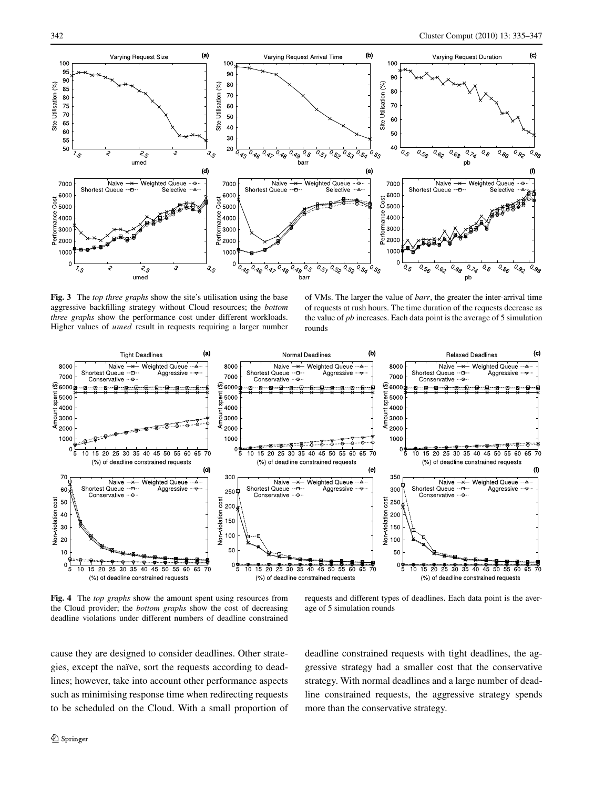<span id="page-7-0"></span>

**Fig. 3** The *top three graphs* show the site's utilisation using the base aggressive backfilling strategy without Cloud resources; the *bottom three graphs* show the performance cost under different workloads. Higher values of *umed* result in requests requiring a larger number

of VMs. The larger the value of *barr*, the greater the inter-arrival time of requests at rush hours. The time duration of the requests decrease as the value of *pb* increases. Each data point is the average of 5 simulation rounds



**Fig. 4** The *top graphs* show the amount spent using resources from the Cloud provider; the *bottom graphs* show the cost of decreasing deadline violations under different numbers of deadline constrained

requests and different types of deadlines. Each data point is the average of 5 simulation rounds

cause they are designed to consider deadlines. Other strategies, except the naïve, sort the requests according to deadlines; however, take into account other performance aspects such as minimising response time when redirecting requests to be scheduled on the Cloud. With a small proportion of deadline constrained requests with tight deadlines, the aggressive strategy had a smaller cost that the conservative strategy. With normal deadlines and a large number of deadline constrained requests, the aggressive strategy spends more than the conservative strategy.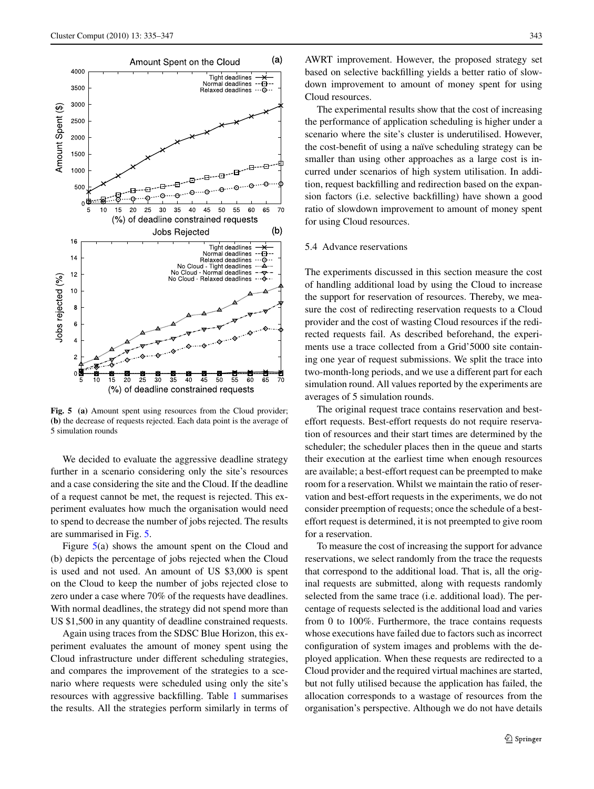

Fig. 5 (a) Amount spent using resources from the Cloud provider; **(b)** the decrease of requests rejected. Each data point is the average of 5 simulation rounds

We decided to evaluate the aggressive deadline strategy further in a scenario considering only the site's resources and a case considering the site and the Cloud. If the deadline of a request cannot be met, the request is rejected. This experiment evaluates how much the organisation would need to spend to decrease the number of jobs rejected. The results are summarised in Fig. 5.

Figure 5(a) shows the amount spent on the Cloud and (b) depicts the percentage of jobs rejected when the Cloud is used and not used. An amount of US \$3,000 is spent on the Cloud to keep the number of jobs rejected close to zero under a case where 70% of the requests have deadlines. With normal deadlines, the strategy did not spend more than US \$1,500 in any quantity of deadline constrained requests.

Again using traces from the SDSC Blue Horizon, this experiment evaluates the amount of money spent using the Cloud infrastructure under different scheduling strategies, and compares the improvement of the strategies to a scenario where requests were scheduled using only the site's resources with aggressive backfilling. Table [1](#page-9-0) summarises the results. All the strategies perform similarly in terms of AWRT improvement. However, the proposed strategy set based on selective backfilling yields a better ratio of slowdown improvement to amount of money spent for using Cloud resources.

The experimental results show that the cost of increasing the performance of application scheduling is higher under a scenario where the site's cluster is underutilised. However, the cost-benefit of using a naïve scheduling strategy can be smaller than using other approaches as a large cost is incurred under scenarios of high system utilisation. In addition, request backfilling and redirection based on the expansion factors (i.e. selective backfilling) have shown a good ratio of slowdown improvement to amount of money spent for using Cloud resources.

#### 5.4 Advance reservations

The experiments discussed in this section measure the cost of handling additional load by using the Cloud to increase the support for reservation of resources. Thereby, we measure the cost of redirecting reservation requests to a Cloud provider and the cost of wasting Cloud resources if the redirected requests fail. As described beforehand, the experiments use a trace collected from a Grid'5000 site containing one year of request submissions. We split the trace into two-month-long periods, and we use a different part for each simulation round. All values reported by the experiments are averages of 5 simulation rounds.

The original request trace contains reservation and besteffort requests. Best-effort requests do not require reservation of resources and their start times are determined by the scheduler; the scheduler places then in the queue and starts their execution at the earliest time when enough resources are available; a best-effort request can be preempted to make room for a reservation. Whilst we maintain the ratio of reservation and best-effort requests in the experiments, we do not consider preemption of requests; once the schedule of a besteffort request is determined, it is not preempted to give room for a reservation.

To measure the cost of increasing the support for advance reservations, we select randomly from the trace the requests that correspond to the additional load. That is, all the original requests are submitted, along with requests randomly selected from the same trace (i.e. additional load). The percentage of requests selected is the additional load and varies from 0 to 100%. Furthermore, the trace contains requests whose executions have failed due to factors such as incorrect configuration of system images and problems with the deployed application. When these requests are redirected to a Cloud provider and the required virtual machines are started, but not fully utilised because the application has failed, the allocation corresponds to a wastage of resources from the organisation's perspective. Although we do not have details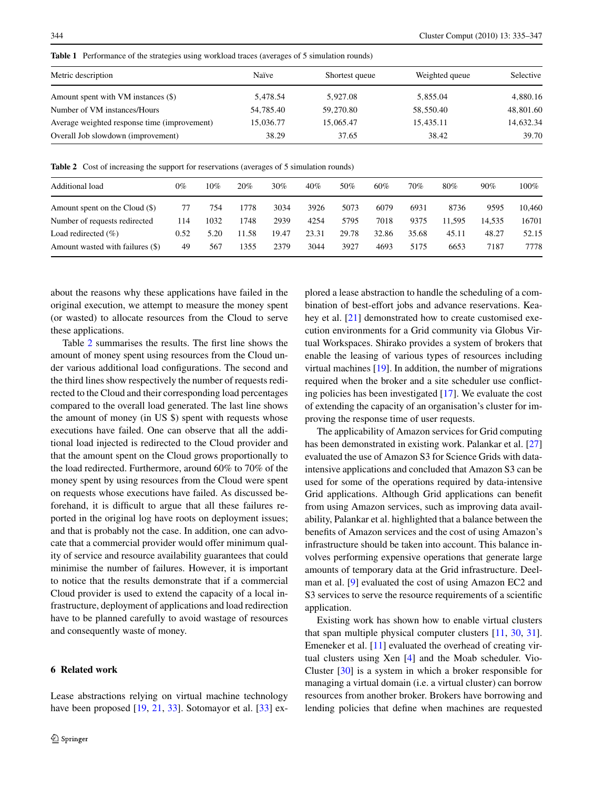<span id="page-9-0"></span>**Table 1** Performance of the strategies using workload traces (averages of 5 simulation rounds)

| Metric description                           | Naïve     | Shortest queue | Weighted queue | Selective |  |
|----------------------------------------------|-----------|----------------|----------------|-----------|--|
| Amount spent with VM instances (\$)          | 5,478.54  | 5.927.08       | 5,855.04       | 4,880.16  |  |
| Number of VM instances/Hours                 | 54,785.40 | 59,270.80      | 58,550.40      | 48,801.60 |  |
| Average weighted response time (improvement) | 15.036.77 | 15.065.47      | 15,435.11      | 14,632.34 |  |
| Overall Job slowdown (improvement)           | 38.29     | 37.65          | 38.42          | 39.70     |  |

Table 2 Cost of increasing the support for reservations (averages of 5 simulation rounds)

| Additional load                  | 0%   | 10%  | 20%   | 30%   | 40%   | 50%   | 60%   | 70%   | 80%    | 90%    | $100\%$ |
|----------------------------------|------|------|-------|-------|-------|-------|-------|-------|--------|--------|---------|
| Amount spent on the Cloud (\$)   | 77   | 754  | 1778  | 3034  | 3926  | 5073  | 6079  | 6931  | 8736   | 9595   | 10,460  |
| Number of requests redirected    | 114  | 1032 | 1748  | 2939  | 4254  | 5795  | 7018  | 9375  | 11.595 | 14.535 | 16701   |
| Load redirected $(\% )$          | 0.52 | 5.20 | 11.58 | 19.47 | 23.31 | 29.78 | 32.86 | 35.68 | 45.11  | 48.27  | 52.15   |
| Amount wasted with failures (\$) | 49   | 567  | 1355  | 2379  | 3044  | 3927  | 4693  | 5175  | 6653   | 7187   | 7778    |

about the reasons why these applications have failed in the original execution, we attempt to measure the money spent (or wasted) to allocate resources from the Cloud to serve these applications.

Table 2 summarises the results. The first line shows the amount of money spent using resources from the Cloud under various additional load configurations. The second and the third lines show respectively the number of requests redirected to the Cloud and their corresponding load percentages compared to the overall load generated. The last line shows the amount of money (in US \$) spent with requests whose executions have failed. One can observe that all the additional load injected is redirected to the Cloud provider and that the amount spent on the Cloud grows proportionally to the load redirected. Furthermore, around 60% to 70% of the money spent by using resources from the Cloud were spent on requests whose executions have failed. As discussed beforehand, it is difficult to argue that all these failures reported in the original log have roots on deployment issues; and that is probably not the case. In addition, one can advocate that a commercial provider would offer minimum quality of service and resource availability guarantees that could minimise the number of failures. However, it is important to notice that the results demonstrate that if a commercial Cloud provider is used to extend the capacity of a local infrastructure, deployment of applications and load redirection have to be planned carefully to avoid wastage of resources and consequently waste of money.

## **6 Related work**

plored a lease abstraction to handle the scheduling of a combination of best-effort jobs and advance reservations. Kea-hey et al. [\[21](#page-11-0)] demonstrated how to create customised execution environments for a Grid community via Globus Virtual Workspaces. Shirako provides a system of brokers that enable the leasing of various types of resources including virtual machines [\[19](#page-11-0)]. In addition, the number of migrations required when the broker and a site scheduler use conflicting policies has been investigated [[17\]](#page-11-0). We evaluate the cost of extending the capacity of an organisation's cluster for improving the response time of user requests.

The applicability of Amazon services for Grid computing has been demonstrated in existing work. Palankar et al. [[27\]](#page-11-0) evaluated the use of Amazon S3 for Science Grids with dataintensive applications and concluded that Amazon S3 can be used for some of the operations required by data-intensive Grid applications. Although Grid applications can benefit from using Amazon services, such as improving data availability, Palankar et al. highlighted that a balance between the benefits of Amazon services and the cost of using Amazon's infrastructure should be taken into account. This balance involves performing expensive operations that generate large amounts of temporary data at the Grid infrastructure. Deelman et al. [[9\]](#page-11-0) evaluated the cost of using Amazon EC2 and S3 services to serve the resource requirements of a scientific application.

Existing work has shown how to enable virtual clusters that span multiple physical computer clusters [[11,](#page-11-0) [30](#page-11-0), [31](#page-11-0)]. Emeneker et al. [\[11](#page-11-0)] evaluated the overhead of creating virtual clusters using Xen [\[4](#page-10-0)] and the Moab scheduler. Vio-Cluster [\[30](#page-11-0)] is a system in which a broker responsible for managing a virtual domain (i.e. a virtual cluster) can borrow resources from another broker. Brokers have borrowing and lending policies that define when machines are requested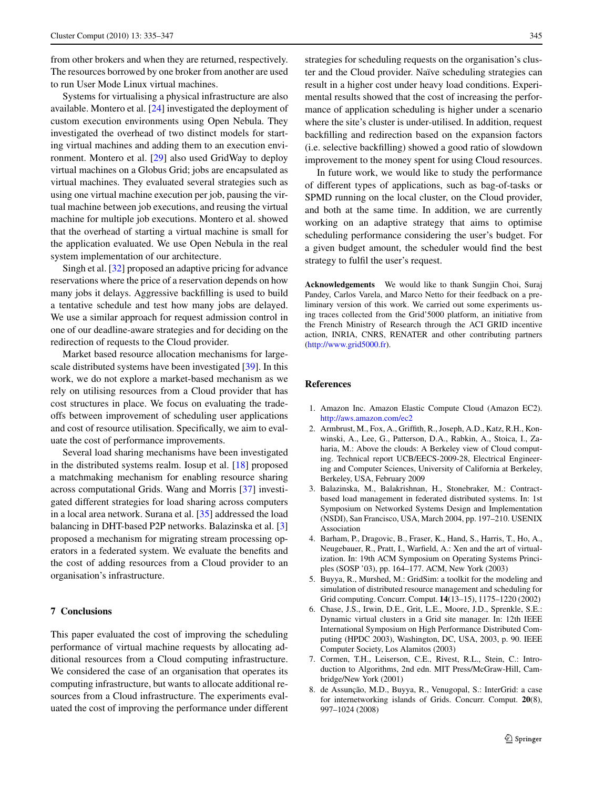<span id="page-10-0"></span>from other brokers and when they are returned, respectively. The resources borrowed by one broker from another are used to run User Mode Linux virtual machines.

Systems for virtualising a physical infrastructure are also available. Montero et al. [\[24\]](#page-11-0) investigated the deployment of custom execution environments using Open Nebula. They investigated the overhead of two distinct models for starting virtual machines and adding them to an execution environment. Montero et al. [\[29\]](#page-11-0) also used GridWay to deploy virtual machines on a Globus Grid; jobs are encapsulated as virtual machines. They evaluated several strategies such as using one virtual machine execution per job, pausing the virtual machine between job executions, and reusing the virtual machine for multiple job executions. Montero et al. showed that the overhead of starting a virtual machine is small for the application evaluated. We use Open Nebula in the real system implementation of our architecture.

Singh et al. [\[32](#page-11-0)] proposed an adaptive pricing for advance reservations where the price of a reservation depends on how many jobs it delays. Aggressive backfilling is used to build a tentative schedule and test how many jobs are delayed. We use a similar approach for request admission control in one of our deadline-aware strategies and for deciding on the redirection of requests to the Cloud provider.

Market based resource allocation mechanisms for largescale distributed systems have been investigated [\[39](#page-11-0)]. In this work, we do not explore a market-based mechanism as we rely on utilising resources from a Cloud provider that has cost structures in place. We focus on evaluating the tradeoffs between improvement of scheduling user applications and cost of resource utilisation. Specifically, we aim to evaluate the cost of performance improvements.

Several load sharing mechanisms have been investigated in the distributed systems realm. Iosup et al. [\[18](#page-11-0)] proposed a matchmaking mechanism for enabling resource sharing across computational Grids. Wang and Morris [\[37](#page-11-0)] investigated different strategies for load sharing across computers in a local area network. Surana et al. [\[35](#page-11-0)] addressed the load balancing in DHT-based P2P networks. Balazinska et al. [3] proposed a mechanism for migrating stream processing operators in a federated system. We evaluate the benefits and the cost of adding resources from a Cloud provider to an organisation's infrastructure.

## **7 Conclusions**

This paper evaluated the cost of improving the scheduling performance of virtual machine requests by allocating additional resources from a Cloud computing infrastructure. We considered the case of an organisation that operates its computing infrastructure, but wants to allocate additional resources from a Cloud infrastructure. The experiments evaluated the cost of improving the performance under different strategies for scheduling requests on the organisation's cluster and the Cloud provider. Naïve scheduling strategies can result in a higher cost under heavy load conditions. Experimental results showed that the cost of increasing the performance of application scheduling is higher under a scenario where the site's cluster is under-utilised. In addition, request backfilling and redirection based on the expansion factors (i.e. selective backfilling) showed a good ratio of slowdown improvement to the money spent for using Cloud resources.

In future work, we would like to study the performance of different types of applications, such as bag-of-tasks or SPMD running on the local cluster, on the Cloud provider, and both at the same time. In addition, we are currently working on an adaptive strategy that aims to optimise scheduling performance considering the user's budget. For a given budget amount, the scheduler would find the best strategy to fulfil the user's request.

**Acknowledgements** We would like to thank Sungjin Choi, Suraj Pandey, Carlos Varela, and Marco Netto for their feedback on a preliminary version of this work. We carried out some experiments using traces collected from the Grid'5000 platform, an initiative from the French Ministry of Research through the ACI GRID incentive action, INRIA, CNRS, RENATER and other contributing partners (<http://www.grid5000.fr>).

#### **References**

- 1. Amazon Inc. Amazon Elastic Compute Cloud (Amazon EC2). <http://aws.amazon.com/ec2>
- 2. Armbrust, M., Fox, A., Griffith, R., Joseph, A.D., Katz, R.H., Konwinski, A., Lee, G., Patterson, D.A., Rabkin, A., Stoica, I., Zaharia, M.: Above the clouds: A Berkeley view of Cloud computing. Technical report UCB/EECS-2009-28, Electrical Engineering and Computer Sciences, University of California at Berkeley, Berkeley, USA, February 2009
- 3. Balazinska, M., Balakrishnan, H., Stonebraker, M.: Contractbased load management in federated distributed systems. In: 1st Symposium on Networked Systems Design and Implementation (NSDI), San Francisco, USA, March 2004, pp. 197–210. USENIX Association
- 4. Barham, P., Dragovic, B., Fraser, K., Hand, S., Harris, T., Ho, A., Neugebauer, R., Pratt, I., Warfield, A.: Xen and the art of virtualization. In: 19th ACM Symposium on Operating Systems Principles (SOSP '03), pp. 164–177. ACM, New York (2003)
- 5. Buyya, R., Murshed, M.: GridSim: a toolkit for the modeling and simulation of distributed resource management and scheduling for Grid computing. Concurr. Comput. **14**(13–15), 1175–1220 (2002)
- 6. Chase, J.S., Irwin, D.E., Grit, L.E., Moore, J.D., Sprenkle, S.E.: Dynamic virtual clusters in a Grid site manager. In: 12th IEEE International Symposium on High Performance Distributed Computing (HPDC 2003), Washington, DC, USA, 2003, p. 90. IEEE Computer Society, Los Alamitos (2003)
- 7. Cormen, T.H., Leiserson, C.E., Rivest, R.L., Stein, C.: Introduction to Algorithms, 2nd edn. MIT Press/McGraw-Hill, Cambridge/New York (2001)
- 8. de Assunção, M.D., Buyya, R., Venugopal, S.: InterGrid: a case for internetworking islands of Grids. Concurr. Comput. **20**(8), 997–1024 (2008)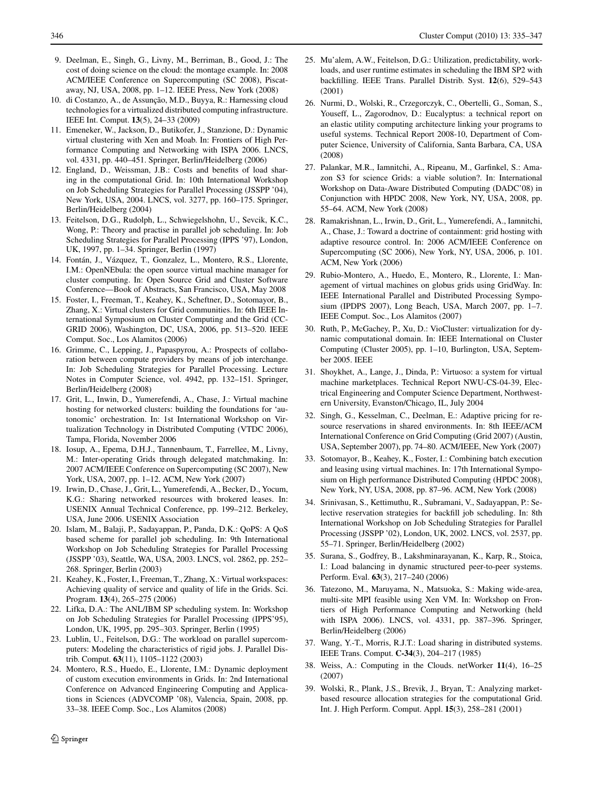- <span id="page-11-0"></span>9. Deelman, E., Singh, G., Livny, M., Berriman, B., Good, J.: The cost of doing science on the cloud: the montage example. In: 2008 ACM/IEEE Conference on Supercomputing (SC 2008), Piscataway, NJ, USA, 2008, pp. 1–12. IEEE Press, New York (2008)
- 10. di Costanzo, A., de Assunção, M.D., Buyya, R.: Harnessing cloud technologies for a virtualized distributed computing infrastructure. IEEE Int. Comput. **13**(5), 24–33 (2009)
- 11. Emeneker, W., Jackson, D., Butikofer, J., Stanzione, D.: Dynamic virtual clustering with Xen and Moab. In: Frontiers of High Performance Computing and Networking with ISPA 2006. LNCS, vol. 4331, pp. 440–451. Springer, Berlin/Heidelberg (2006)
- 12. England, D., Weissman, J.B.: Costs and benefits of load sharing in the computational Grid. In: 10th International Workshop on Job Scheduling Strategies for Parallel Processing (JSSPP '04), New York, USA, 2004. LNCS, vol. 3277, pp. 160–175. Springer, Berlin/Heidelberg (2004)
- 13. Feitelson, D.G., Rudolph, L., Schwiegelshohn, U., Sevcik, K.C., Wong, P.: Theory and practise in parallel job scheduling. In: Job Scheduling Strategies for Parallel Processing (IPPS '97), London, UK, 1997, pp. 1–34. Springer, Berlin (1997)
- 14. Fontán, J., Vázquez, T., Gonzalez, L., Montero, R.S., Llorente, I.M.: OpenNEbula: the open source virtual machine manager for cluster computing. In: Open Source Grid and Cluster Software Conference—Book of Abstracts, San Francisco, USA, May 2008
- 15. Foster, I., Freeman, T., Keahey, K., Scheftner, D., Sotomayor, B., Zhang, X.: Virtual clusters for Grid communities. In: 6th IEEE International Symposium on Cluster Computing and the Grid (CC-GRID 2006), Washington, DC, USA, 2006, pp. 513–520. IEEE Comput. Soc., Los Alamitos (2006)
- 16. Grimme, C., Lepping, J., Papaspyrou, A.: Prospects of collaboration between compute providers by means of job interchange. In: Job Scheduling Strategies for Parallel Processing. Lecture Notes in Computer Science, vol. 4942, pp. 132–151. Springer, Berlin/Heidelberg (2008)
- 17. Grit, L., Inwin, D., Yumerefendi, A., Chase, J.: Virtual machine hosting for networked clusters: building the foundations for 'autonomic' orchestration. In: 1st International Workshop on Virtualization Technology in Distributed Computing (VTDC 2006), Tampa, Florida, November 2006
- 18. Iosup, A., Epema, D.H.J., Tannenbaum, T., Farrellee, M., Livny, M.: Inter-operating Grids through delegated matchmaking. In: 2007 ACM/IEEE Conference on Supercomputing (SC 2007), New York, USA, 2007, pp. 1–12. ACM, New York (2007)
- 19. Irwin, D., Chase, J., Grit, L., Yumerefendi, A., Becker, D., Yocum, K.G.: Sharing networked resources with brokered leases. In: USENIX Annual Technical Conference, pp. 199–212. Berkeley, USA, June 2006. USENIX Association
- 20. Islam, M., Balaji, P., Sadayappan, P., Panda, D.K.: QoPS: A QoS based scheme for parallel job scheduling. In: 9th International Workshop on Job Scheduling Strategies for Parallel Processing (JSSPP '03), Seattle, WA, USA, 2003. LNCS, vol. 2862, pp. 252– 268. Springer, Berlin (2003)
- 21. Keahey, K., Foster, I., Freeman, T., Zhang, X.: Virtual workspaces: Achieving quality of service and quality of life in the Grids. Sci. Program. **13**(4), 265–275 (2006)
- 22. Lifka, D.A.: The ANL/IBM SP scheduling system. In: Workshop on Job Scheduling Strategies for Parallel Processing (IPPS'95), London, UK, 1995, pp. 295–303. Springer, Berlin (1995)
- 23. Lublin, U., Feitelson, D.G.: The workload on parallel supercomputers: Modeling the characteristics of rigid jobs. J. Parallel Distrib. Comput. **63**(11), 1105–1122 (2003)
- 24. Montero, R.S., Huedo, E., Llorente, I.M.: Dynamic deployment of custom execution environments in Grids. In: 2nd International Conference on Advanced Engineering Computing and Applications in Sciences (ADVCOMP '08), Valencia, Spain, 2008, pp. 33–38. IEEE Comp. Soc., Los Alamitos (2008)
- 25. Mu'alem, A.W., Feitelson, D.G.: Utilization, predictability, workloads, and user runtime estimates in scheduling the IBM SP2 with backfilling. IEEE Trans. Parallel Distrib. Syst. **12**(6), 529–543 (2001)
- 26. Nurmi, D., Wolski, R., Crzegorczyk, C., Obertelli, G., Soman, S., Youseff, L., Zagorodnov, D.: Eucalyptus: a technical report on an elastic utility computing architecture linking your programs to useful systems. Technical Report 2008-10, Department of Computer Science, University of California, Santa Barbara, CA, USA (2008)
- 27. Palankar, M.R., Iamnitchi, A., Ripeanu, M., Garfinkel, S.: Amazon S3 for science Grids: a viable solution?. In: International Workshop on Data-Aware Distributed Computing (DADC'08) in Conjunction with HPDC 2008, New York, NY, USA, 2008, pp. 55–64. ACM, New York (2008)
- 28. Ramakrishnan, L., Irwin, D., Grit, L., Yumerefendi, A., Iamnitchi, A., Chase, J.: Toward a doctrine of containment: grid hosting with adaptive resource control. In: 2006 ACM/IEEE Conference on Supercomputing (SC 2006), New York, NY, USA, 2006, p. 101. ACM, New York (2006)
- 29. Rubio-Montero, A., Huedo, E., Montero, R., Llorente, I.: Management of virtual machines on globus grids using GridWay. In: IEEE International Parallel and Distributed Processing Symposium (IPDPS 2007), Long Beach, USA, March 2007, pp. 1–7. IEEE Comput. Soc., Los Alamitos (2007)
- 30. Ruth, P., McGachey, P., Xu, D.: VioCluster: virtualization for dynamic computational domain. In: IEEE International on Cluster Computing (Cluster 2005), pp. 1–10, Burlington, USA, September 2005. IEEE
- 31. Shoykhet, A., Lange, J., Dinda, P.: Virtuoso: a system for virtual machine marketplaces. Technical Report NWU-CS-04-39, Electrical Engineering and Computer Science Department, Northwestern University, Evanston/Chicago, IL, July 2004
- 32. Singh, G., Kesselman, C., Deelman, E.: Adaptive pricing for resource reservations in shared environments. In: 8th IEEE/ACM International Conference on Grid Computing (Grid 2007) (Austin, USA, September 2007), pp. 74–80. ACM/IEEE, New York (2007)
- 33. Sotomayor, B., Keahey, K., Foster, I.: Combining batch execution and leasing using virtual machines. In: 17th International Symposium on High performance Distributed Computing (HPDC 2008), New York, NY, USA, 2008, pp. 87–96. ACM, New York (2008)
- 34. Srinivasan, S., Kettimuthu, R., Subramani, V., Sadayappan, P.: Selective reservation strategies for backfill job scheduling. In: 8th International Workshop on Job Scheduling Strategies for Parallel Processing (JSSPP '02), London, UK, 2002. LNCS, vol. 2537, pp. 55–71. Springer, Berlin/Heidelberg (2002)
- 35. Surana, S., Godfrey, B., Lakshminarayanan, K., Karp, R., Stoica, I.: Load balancing in dynamic structured peer-to-peer systems. Perform. Eval. **63**(3), 217–240 (2006)
- 36. Tatezono, M., Maruyama, N., Matsuoka, S.: Making wide-area, multi-site MPI feasible using Xen VM. In: Workshop on Frontiers of High Performance Computing and Networking (held with ISPA 2006). LNCS, vol. 4331, pp. 387–396. Springer, Berlin/Heidelberg (2006)
- 37. Wang, Y.-T., Morris, R.J.T.: Load sharing in distributed systems. IEEE Trans. Comput. **C-34**(3), 204–217 (1985)
- 38. Weiss, A.: Computing in the Clouds. netWorker **11**(4), 16–25 (2007)
- 39. Wolski, R., Plank, J.S., Brevik, J., Bryan, T.: Analyzing marketbased resource allocation strategies for the computational Grid. Int. J. High Perform. Comput. Appl. **15**(3), 258–281 (2001)